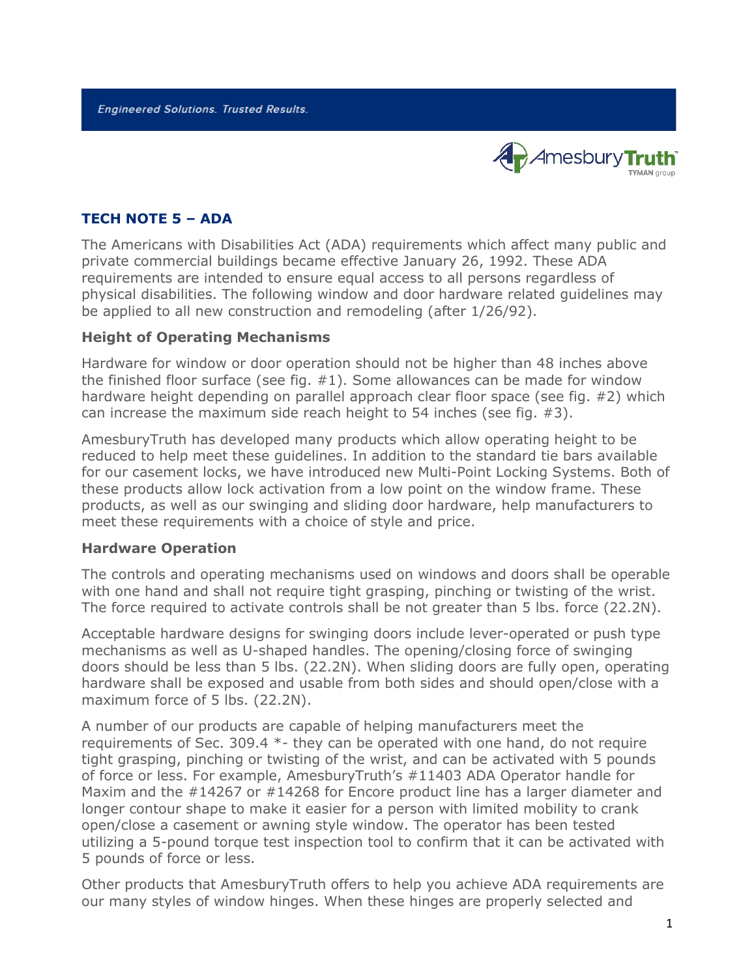**Engineered Solutions. Trusted Results.** 



# **TECH NOTE 5 – ADA**

The Americans with Disabilities Act (ADA) requirements which affect many public and private commercial buildings became effective January 26, 1992. These ADA requirements are intended to ensure equal access to all persons regardless of physical disabilities. The following window and door hardware related guidelines may be applied to all new construction and remodeling (after 1/26/92).

### **Height of Operating Mechanisms**

Hardware for window or door operation should not be higher than 48 inches above the finished floor surface (see fig. #1). Some allowances can be made for window hardware height depending on parallel approach clear floor space (see fig. #2) which can increase the maximum side reach height to 54 inches (see fig. #3).

AmesburyTruth has developed many products which allow operating height to be reduced to help meet these guidelines. In addition to the standard tie bars available for our casement locks, we have introduced new Multi-Point Locking Systems. Both of these products allow lock activation from a low point on the window frame. These products, as well as our swinging and sliding door hardware, help manufacturers to meet these requirements with a choice of style and price.

#### **Hardware Operation**

The controls and operating mechanisms used on windows and doors shall be operable with one hand and shall not require tight grasping, pinching or twisting of the wrist. The force required to activate controls shall be not greater than 5 lbs. force (22.2N).

Acceptable hardware designs for swinging doors include lever-operated or push type mechanisms as well as U-shaped handles. The opening/closing force of swinging doors should be less than 5 lbs. (22.2N). When sliding doors are fully open, operating hardware shall be exposed and usable from both sides and should open/close with a maximum force of 5 lbs. (22.2N).

A number of our products are capable of helping manufacturers meet the requirements of Sec. 309.4 \*- they can be operated with one hand, do not require tight grasping, pinching or twisting of the wrist, and can be activated with 5 pounds of force or less. For example, AmesburyTruth's #11403 ADA Operator handle for Maxim and the  $\#14267$  or  $\#14268$  for Encore product line has a larger diameter and longer contour shape to make it easier for a person with limited mobility to crank open/close a casement or awning style window. The operator has been tested utilizing a 5-pound torque test inspection tool to confirm that it can be activated with 5 pounds of force or less.

Other products that AmesburyTruth offers to help you achieve ADA requirements are our many styles of window hinges. When these hinges are properly selected and